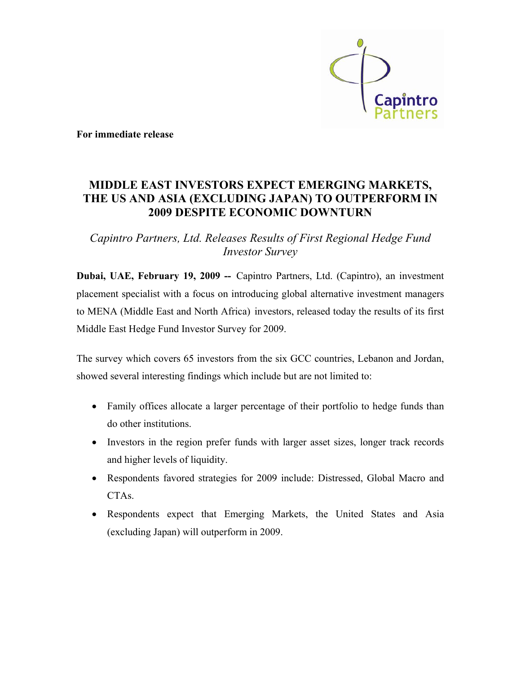

**For immediate release** 

# **MIDDLE EAST INVESTORS EXPECT EMERGING MARKETS, THE US AND ASIA (EXCLUDING JAPAN) TO OUTPERFORM IN 2009 DESPITE ECONOMIC DOWNTURN**

*Capintro Partners, Ltd. Releases Results of First Regional Hedge Fund Investor Survey* 

**Dubai, UAE, February 19, 2009 --** Capintro Partners, Ltd. (Capintro), an investment placement specialist with a focus on introducing global alternative investment managers to MENA (Middle East and North Africa) investors, released today the results of its first Middle East Hedge Fund Investor Survey for 2009.

The survey which covers 65 investors from the six GCC countries, Lebanon and Jordan, showed several interesting findings which include but are not limited to:

- Family offices allocate a larger percentage of their portfolio to hedge funds than do other institutions.
- Investors in the region prefer funds with larger asset sizes, longer track records and higher levels of liquidity.
- Respondents favored strategies for 2009 include: Distressed, Global Macro and CTAs.
- Respondents expect that Emerging Markets, the United States and Asia (excluding Japan) will outperform in 2009.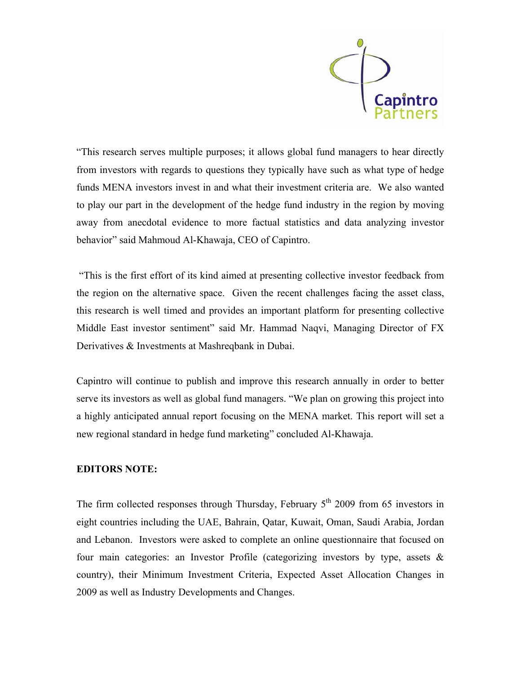

"This research serves multiple purposes; it allows global fund managers to hear directly from investors with regards to questions they typically have such as what type of hedge funds MENA investors invest in and what their investment criteria are. We also wanted to play our part in the development of the hedge fund industry in the region by moving away from anecdotal evidence to more factual statistics and data analyzing investor behavior" said Mahmoud Al-Khawaja, CEO of Capintro.

 "This is the first effort of its kind aimed at presenting collective investor feedback from the region on the alternative space. Given the recent challenges facing the asset class, this research is well timed and provides an important platform for presenting collective Middle East investor sentiment" said Mr. Hammad Naqvi, Managing Director of FX Derivatives & Investments at Mashreqbank in Dubai.

Capintro will continue to publish and improve this research annually in order to better serve its investors as well as global fund managers. "We plan on growing this project into a highly anticipated annual report focusing on the MENA market. This report will set a new regional standard in hedge fund marketing" concluded Al-Khawaja.

## **EDITORS NOTE:**

The firm collected responses through Thursday, February  $5<sup>th</sup>$  2009 from 65 investors in eight countries including the UAE, Bahrain, Qatar, Kuwait, Oman, Saudi Arabia, Jordan and Lebanon. Investors were asked to complete an online questionnaire that focused on four main categories: an Investor Profile (categorizing investors by type, assets  $\&$ country), their Minimum Investment Criteria, Expected Asset Allocation Changes in 2009 as well as Industry Developments and Changes.